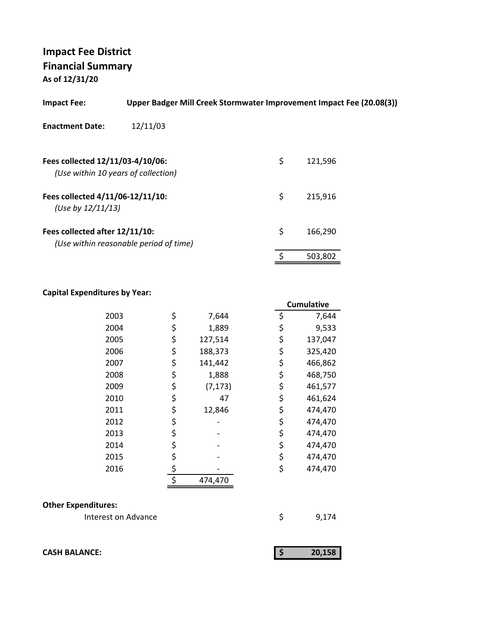| <b>Impact Fee:</b>                                                      | Upper Badger Mill Creek Stormwater Improvement Impact Fee (20.08(3)) |               |  |
|-------------------------------------------------------------------------|----------------------------------------------------------------------|---------------|--|
| <b>Enactment Date:</b>                                                  | 12/11/03                                                             |               |  |
| Fees collected 12/11/03-4/10/06:<br>(Use within 10 years of collection) |                                                                      | \$<br>121,596 |  |
| Fees collected 4/11/06-12/11/10:<br>(Use by $12/11/13$ )                |                                                                      | \$<br>215.916 |  |
| Fees collected after 12/11/10:                                          | (Use within reasonable period of time)                               | \$<br>166.290 |  |
|                                                                         |                                                                      | \$<br>503,802 |  |

### **Capital Expenditures by Year:**

|      |                | <b>Cumulative</b> |
|------|----------------|-------------------|
| 2003 | \$<br>7,644    | \$<br>7,644       |
| 2004 | \$<br>1,889    | \$<br>9,533       |
| 2005 | \$<br>127,514  | \$<br>137,047     |
| 2006 | \$<br>188,373  | \$<br>325,420     |
| 2007 | \$<br>141,442  | \$<br>466,862     |
| 2008 | \$<br>1,888    | \$<br>468,750     |
| 2009 | \$<br>(7, 173) | \$<br>461,577     |
| 2010 | \$<br>47       | \$<br>461,624     |
| 2011 | \$<br>12,846   | \$<br>474,470     |
| 2012 | \$             | \$<br>474,470     |
| 2013 | \$             | \$<br>474,470     |
| 2014 | \$             | \$<br>474,470     |
| 2015 | \$             | \$<br>474,470     |
| 2016 | \$             | \$<br>474,470     |
|      | \$<br>474,470  |                   |

### **Other Expenditures:**

| Interest on Advance |  | 9,174 |
|---------------------|--|-------|
|---------------------|--|-------|

| <b>CASH BALANCE:</b> | 20.158 |
|----------------------|--------|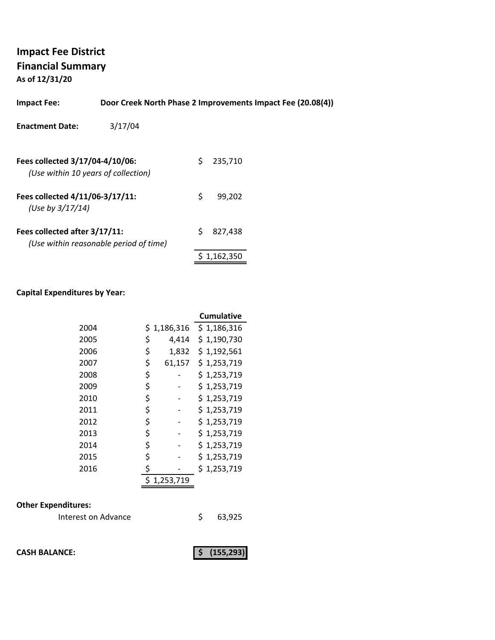**As of 12/31/20**

| <b>Impact Fee:</b>                                                     | Door Creek North Phase 2 Improvements Impact Fee (20.08(4)) |    |         |  |
|------------------------------------------------------------------------|-------------------------------------------------------------|----|---------|--|
| <b>Enactment Date:</b>                                                 | 3/17/04                                                     |    |         |  |
| Fees collected 3/17/04-4/10/06:<br>(Use within 10 years of collection) |                                                             | S. | 235,710 |  |
| Fees collected 4/11/06-3/17/11:<br>(Use by 3/17/14)                    |                                                             | S. | 99.202  |  |
| Fees collected after 3/17/11:                                          | (Use within reasonable period of time)                      | Ś  | 827.438 |  |

#### **Capital Expenditures by Year:**

|      |              | <b>Cumulative</b> |
|------|--------------|-------------------|
| 2004 | \$1,186,316  | \$1,186,316       |
| 2005 | \$<br>4,414  | \$1,190,730       |
| 2006 | \$<br>1,832  | \$1,192,561       |
| 2007 | \$<br>61,157 | \$1,253,719       |
| 2008 | \$           | \$1,253,719       |
| 2009 | \$           | \$1,253,719       |
| 2010 | \$           | \$1,253,719       |
| 2011 | \$           | \$1,253,719       |
| 2012 | \$           | \$1,253,719       |
| 2013 | \$           | \$1,253,719       |
| 2014 | \$           | \$1,253,719       |
| 2015 | \$           | \$1,253,719       |
| 2016 | \$           | \$1,253,719       |
|      | 1,253,719    |                   |

### **Other Expenditures:**

| Interest on Advance | 63,925 |
|---------------------|--------|
|---------------------|--------|

**CASH BALANCE: (155,293) \$** 

 $$ 1,162,350$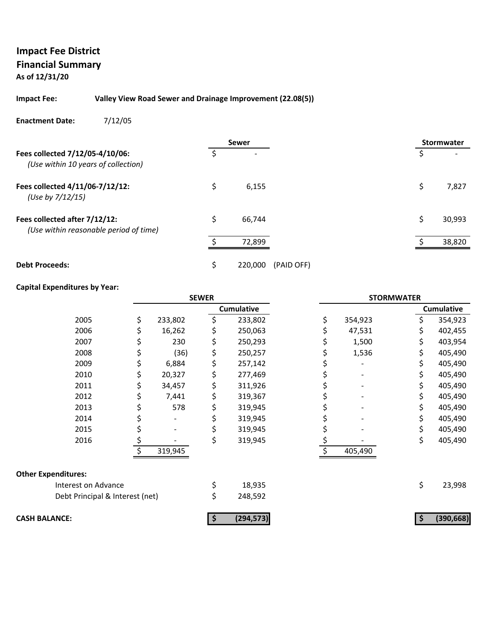#### **Impact Fee: Valley View Road Sewer and Drainage Improvement (22.08(5))**

#### **Enactment Date:** 7/12/05

|                                                                         |    | <b>Sewer</b>          | <b>Stormwater</b> |        |
|-------------------------------------------------------------------------|----|-----------------------|-------------------|--------|
| Fees collected 7/12/05-4/10/06:<br>(Use within 10 years of collection)  | Ś  |                       | \$                |        |
| Fees collected 4/11/06-7/12/12:<br>(Use by 7/12/15)                     | \$ | 6,155                 | \$                | 7,827  |
| Fees collected after 7/12/12:<br>(Use within reasonable period of time) | \$ | 66,744                | Ś                 | 30,993 |
|                                                                         |    | 72,899                |                   | 38,820 |
| <b>Debt Proceeds:</b>                                                   | \$ | 220,000<br>(PAID OFF) |                   |        |

#### **Capital Expenditures by Year:**

|                                 | <b>SEWER</b> |         | <b>STORMWATER</b> |               |     |                   |
|---------------------------------|--------------|---------|-------------------|---------------|-----|-------------------|
|                                 |              |         | <b>Cumulative</b> |               |     | <b>Cumulative</b> |
| 2005                            | \$           | 233,802 | \$<br>233,802     | \$<br>354,923 | \$  | 354,923           |
| 2006                            |              | 16,262  | 250,063           | 47,531        |     | 402,455           |
| 2007                            |              | 230     | \$<br>250,293     | 1,500         | \$  | 403,954           |
| 2008                            |              | (36)    | \$<br>250,257     | 1,536         | \$  | 405,490           |
| 2009                            | S            | 6,884   | \$<br>257,142     |               | \$  | 405,490           |
| 2010                            |              | 20,327  | \$<br>277,469     |               |     | 405,490           |
| 2011                            |              | 34,457  | \$<br>311,926     |               | \$  | 405,490           |
| 2012                            |              | 7,441   | \$<br>319,367     |               |     | 405,490           |
| 2013                            | s            | 578     | \$<br>319,945     |               | \$. | 405,490           |
| 2014                            |              |         | 319,945           |               |     | 405,490           |
| 2015                            |              |         | 319,945           |               |     | 405,490           |
| 2016                            | \$           |         | \$<br>319,945     |               | \$  | 405,490           |
|                                 |              | 319,945 |                   | 405,490       |     |                   |
| <b>Other Expenditures:</b>      |              |         |                   |               |     |                   |
| Interest on Advance             |              |         | \$<br>18,935      |               | \$  | 23,998            |
| Debt Principal & Interest (net) |              |         | \$<br>248,592     |               |     |                   |
| <b>CASH BALANCE:</b>            |              |         | (294, 573)        |               |     | (390, 668)        |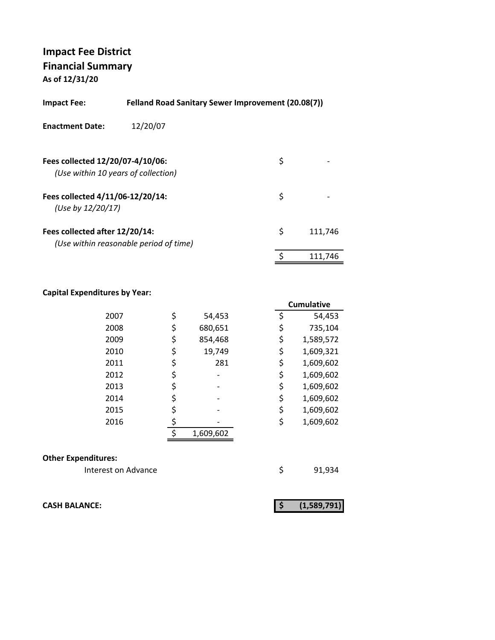| <b>Impact Fee:</b>                                    | <b>Felland Road Sanitary Sewer Improvement (20.08(7))</b> |    |         |
|-------------------------------------------------------|-----------------------------------------------------------|----|---------|
| <b>Enactment Date:</b>                                | 12/20/07                                                  |    |         |
| Fees collected 12/20/07-4/10/06:                      | (Use within 10 years of collection)                       | \$ |         |
| Fees collected 4/11/06-12/20/14:<br>(Use by 12/20/17) |                                                           | \$ |         |
| Fees collected after 12/20/14:                        | (Use within reasonable period of time)                    | \$ | 111,746 |
|                                                       |                                                           | \$ | 111.746 |

### **Capital Expenditures by Year:**

|               | <b>Cumulative</b>                                        |
|---------------|----------------------------------------------------------|
| \$<br>54,453  | 54,453                                                   |
| \$<br>680,651 | 735,104                                                  |
| \$<br>854,468 | 1,589,572                                                |
| \$<br>19,749  | 1,609,321                                                |
| \$<br>281     | 1,609,602                                                |
| \$            | 1,609,602                                                |
| \$            | 1,609,602                                                |
| \$            | 1,609,602                                                |
|               | 1,609,602                                                |
|               | 1,609,602                                                |
| 1,609,602     |                                                          |
|               | \$<br>\$<br>\$<br>\$<br>\$<br>\$<br>\$<br>\$<br>\$<br>\$ |

#### **Other Expenditures:**

Interest on Advance **1920** \$91,934

**CASH BALANCE: (1,589,791) \$**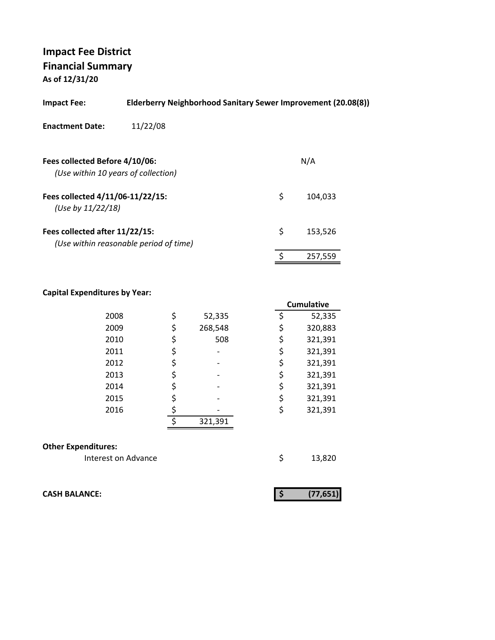| Elderberry Neighborhood Sanitary Sewer Improvement (20.08(8))<br><b>Impact Fee:</b> |                                        |    |         |  |  |
|-------------------------------------------------------------------------------------|----------------------------------------|----|---------|--|--|
| <b>Enactment Date:</b>                                                              | 11/22/08                               |    |         |  |  |
| Fees collected Before 4/10/06:<br>(Use within 10 years of collection)               |                                        |    | N/A     |  |  |
| Fees collected 4/11/06-11/22/15:<br>(Use by 11/22/18)                               |                                        | \$ | 104.033 |  |  |
| Fees collected after 11/22/15:                                                      | (Use within reasonable period of time) | \$ | 153.526 |  |  |
|                                                                                     |                                        |    | 257,559 |  |  |

#### **Capital Expenditures by Year:**

|                            |    |         | <b>Cumulative</b> |         |  |  |
|----------------------------|----|---------|-------------------|---------|--|--|
| 2008                       | \$ | 52,335  | \$                | 52,335  |  |  |
| 2009                       | \$ | 268,548 | \$                | 320,883 |  |  |
| 2010                       | \$ | 508     | \$                | 321,391 |  |  |
| 2011                       | \$ |         | \$                | 321,391 |  |  |
| 2012                       | \$ |         | \$                | 321,391 |  |  |
| 2013                       | \$ |         | \$                | 321,391 |  |  |
| 2014                       | \$ |         | \$                | 321,391 |  |  |
| 2015                       | \$ |         | \$                | 321,391 |  |  |
| 2016                       | \$ |         | \$                | 321,391 |  |  |
|                            | ς  | 321,391 |                   |         |  |  |
| <b>Other Expenditures:</b> |    |         |                   |         |  |  |
| Interest on Advance        |    |         | \$                | 13,820  |  |  |

**CASH BALANCE: (77,651) \$** 

|--|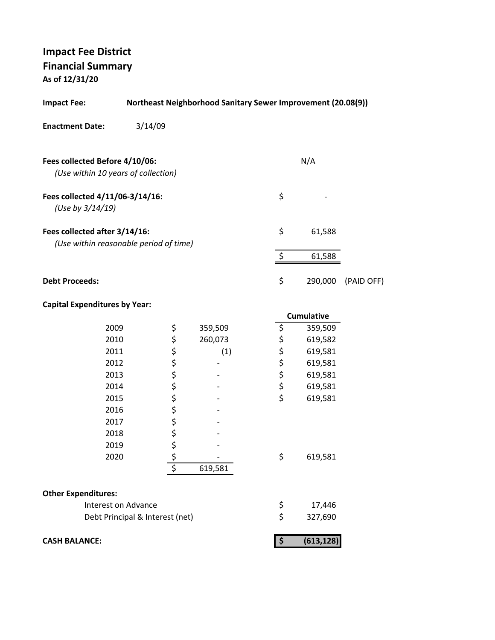**As of 12/31/20**

| <b>Northeast Neighborhood Sanitary Sewer Improvement (20.08(9))</b><br><b>Impact Fee:</b> |                                 |  |         |  |                      |                   |            |
|-------------------------------------------------------------------------------------------|---------------------------------|--|---------|--|----------------------|-------------------|------------|
| <b>Enactment Date:</b>                                                                    | 3/14/09                         |  |         |  |                      |                   |            |
| Fees collected Before 4/10/06:<br>(Use within 10 years of collection)                     |                                 |  |         |  |                      | N/A               |            |
| Fees collected 4/11/06-3/14/16:<br>(Use by 3/14/19)                                       |                                 |  |         |  | \$                   |                   |            |
| Fees collected after 3/14/16:<br>(Use within reasonable period of time)                   |                                 |  |         |  | \$                   | 61,588            |            |
|                                                                                           |                                 |  |         |  | $\boldsymbol{\zeta}$ | 61,588            |            |
| <b>Debt Proceeds:</b>                                                                     |                                 |  |         |  | \$                   | 290,000           | (PAID OFF) |
| <b>Capital Expenditures by Year:</b>                                                      |                                 |  |         |  |                      |                   |            |
|                                                                                           |                                 |  |         |  |                      | <b>Cumulative</b> |            |
| 2009                                                                                      | \$                              |  | 359,509 |  | \$                   | 359,509           |            |
| 2010                                                                                      | ぐうさ ぐっか                         |  | 260,073 |  | \$ \$ \$ \$          | 619,582           |            |
| 2011                                                                                      |                                 |  | (1)     |  |                      | 619,581           |            |
| 2012                                                                                      |                                 |  |         |  |                      | 619,581           |            |
| 2013                                                                                      |                                 |  |         |  |                      | 619,581           |            |
| 2014                                                                                      |                                 |  |         |  | \$<br>\$             | 619,581           |            |
| 2015                                                                                      |                                 |  |         |  |                      | 619,581           |            |
| 2016                                                                                      |                                 |  |         |  |                      |                   |            |
| 2017                                                                                      |                                 |  |         |  |                      |                   |            |
| 2018                                                                                      | \$                              |  |         |  |                      |                   |            |
| 2019                                                                                      |                                 |  |         |  |                      |                   |            |
| 2020                                                                                      | <u>\$</u><br>\$                 |  | 619,581 |  | \$                   | 619,581           |            |
|                                                                                           |                                 |  |         |  |                      |                   |            |
| <b>Other Expenditures:</b>                                                                |                                 |  |         |  |                      |                   |            |
| Interest on Advance                                                                       |                                 |  |         |  | \$                   | 17,446            |            |
|                                                                                           | Debt Principal & Interest (net) |  |         |  | \$                   | 327,690           |            |
| <b>CASH BALANCE:</b>                                                                      |                                 |  |         |  | $\boldsymbol{\zeta}$ | (613, 128)        |            |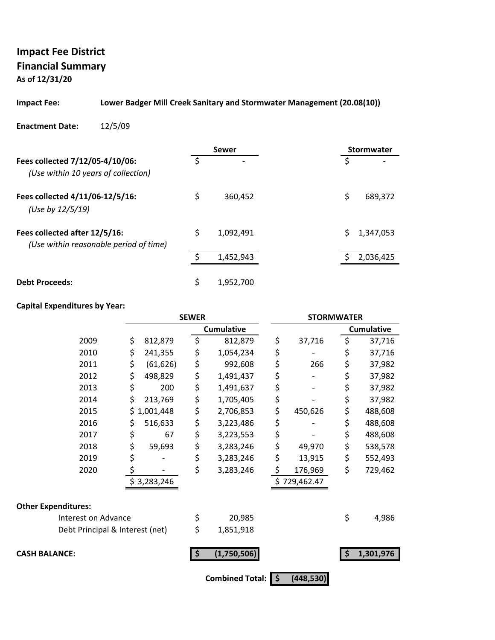**As of 12/31/20**

#### **Impact Fee: Lower Badger Mill Creek Sanitary and Stormwater Management (20.08(10))**

#### **Enactment Date:** 12/5/09

|                                                                         | <b>Sewer</b>    | <b>Stormwater</b> |
|-------------------------------------------------------------------------|-----------------|-------------------|
| Fees collected 7/12/05-4/10/06:<br>(Use within 10 years of collection)  |                 | S                 |
| Fees collected 4/11/06-12/5/16:<br>(Use by 12/5/19)                     | \$<br>360,452   | \$<br>689,372     |
| Fees collected after 12/5/16:<br>(Use within reasonable period of time) | \$<br>1,092,491 | Ś.<br>1,347,053   |
|                                                                         | 1,452,943       | 2,036,425         |
| <b>Debt Proceeds:</b>                                                   | 1,952,700       |                   |

#### **Capital Expenditures by Year:**

|                                 | <b>SEWER</b> |             |     | <b>STORMWATER</b>      |                     |              |    |                   |
|---------------------------------|--------------|-------------|-----|------------------------|---------------------|--------------|----|-------------------|
|                                 |              |             |     | <b>Cumulative</b>      |                     |              |    | <b>Cumulative</b> |
| 2009                            | \$           | 812,879     | \$  | 812,879                | \$                  | 37,716       | \$ | 37,716            |
| 2010                            | \$           | 241,355     | \$  | 1,054,234              | \$                  |              | \$ | 37,716            |
| 2011                            | \$           | (61, 626)   | \$  | 992,608                | \$                  | 266          | \$ | 37,982            |
| 2012                            | \$           | 498,829     | \$  | 1,491,437              | \$                  |              | \$ | 37,982            |
| 2013                            | \$           | 200         | \$  | 1,491,637              | \$                  |              | \$ | 37,982            |
| 2014                            | \$           | 213,769     | \$  | 1,705,405              | \$                  |              | \$ | 37,982            |
| 2015                            | \$           | 1,001,448   | \$  | 2,706,853              | \$                  | 450,626      | \$ | 488,608           |
| 2016                            | \$           | 516,633     | \$  | 3,223,486              | \$                  |              | \$ | 488,608           |
| 2017                            | \$           | 67          | \$  | 3,223,553              | \$                  |              | \$ | 488,608           |
| 2018                            | \$           | 59,693      | \$  | 3,283,246              | \$                  | 49,970       | \$ | 538,578           |
| 2019                            | \$           |             | \$  | 3,283,246              | \$                  | 13,915       | \$ | 552,493           |
| 2020                            | \$           |             | \$  | 3,283,246              | \$                  | 176,969      | \$ | 729,462           |
|                                 |              | \$3,283,246 |     |                        |                     | \$729,462.47 |    |                   |
| <b>Other Expenditures:</b>      |              |             |     |                        |                     |              |    |                   |
| Interest on Advance             |              |             | \$  | 20,985                 |                     |              | \$ | 4,986             |
| Debt Principal & Interest (net) |              |             | \$  | 1,851,918              |                     |              |    |                   |
| <b>CASH BALANCE:</b>            |              |             | -\$ | (1,750,506)            |                     |              | Ś  | 1,301,976         |
|                                 |              |             |     | <b>Combined Total:</b> | $\ddot{\bm{\zeta}}$ | (448, 530)   |    |                   |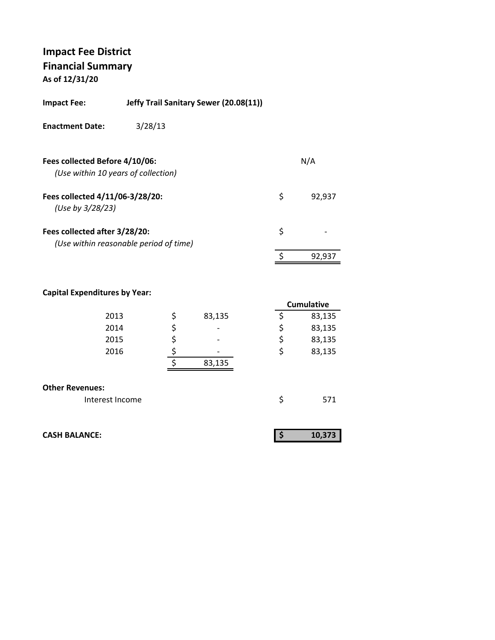**As of 12/31/20**

| <b>Impact Fee:</b>                                                    | Jeffy Trail Sanitary Sewer (20.08(11)) |              |
|-----------------------------------------------------------------------|----------------------------------------|--------------|
| <b>Enactment Date:</b>                                                | 3/28/13                                |              |
| Fees collected Before 4/10/06:<br>(Use within 10 years of collection) |                                        | N/A          |
| Fees collected 4/11/06-3/28/20:<br>(Use by 3/28/23)                   |                                        | \$<br>92,937 |
| Fees collected after 3/28/20:                                         | (Use within reasonable period of time) | \$           |
|                                                                       |                                        | 92,937       |
|                                                                       |                                        |              |

### **Capital Expenditures by Year:**

|                        |              | <b>Cumulative</b> |
|------------------------|--------------|-------------------|
| 2013                   | \$<br>83,135 | \$<br>83,135      |
| 2014                   | \$           | \$<br>83,135      |
| 2015                   | \$           | \$<br>83,135      |
| 2016                   |              | \$<br>83,135      |
|                        | 83,135       |                   |
|                        |              |                   |
| <b>Other Revenues:</b> |              |                   |
| Interest Income        |              | \$<br>571         |

| <b>CASH BALANCE:</b> |  | 10.373 |  |
|----------------------|--|--------|--|
|                      |  |        |  |

92,937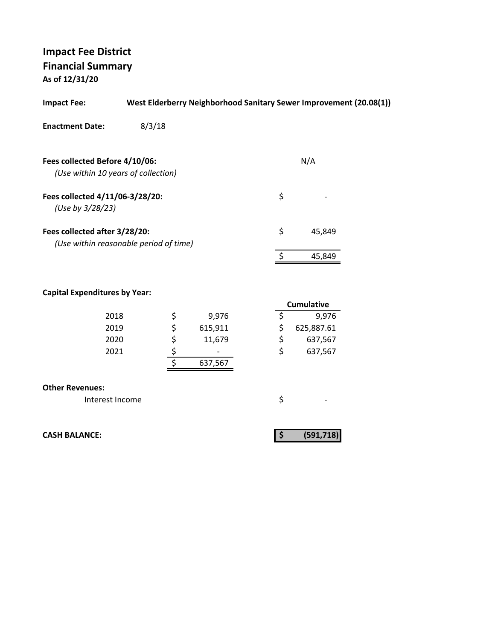**As of 12/31/20**

| <b>Impact Fee:</b>                                                      |        |        |         |    | West Elderberry Neighborhood Sanitary Sewer Improvement (20.08(1)) |  |
|-------------------------------------------------------------------------|--------|--------|---------|----|--------------------------------------------------------------------|--|
| <b>Enactment Date:</b>                                                  | 8/3/18 |        |         |    |                                                                    |  |
| Fees collected Before 4/10/06:                                          |        |        |         |    | N/A                                                                |  |
| (Use within 10 years of collection)                                     |        |        |         |    |                                                                    |  |
| Fees collected 4/11/06-3/28/20:<br>(Use by 3/28/23)                     |        |        |         | \$ |                                                                    |  |
| Fees collected after 3/28/20:<br>(Use within reasonable period of time) |        |        |         | \$ | 45,849                                                             |  |
|                                                                         |        |        |         | \$ | 45,849                                                             |  |
| <b>Capital Expenditures by Year:</b>                                    |        |        |         |    | <b>Cumulative</b>                                                  |  |
| 2018                                                                    |        |        | 9,976   | \$ | 9,976                                                              |  |
| 2019                                                                    |        |        | 615,911 | \$ | 625,887.61                                                         |  |
| 2020                                                                    |        |        | 11,679  | \$ | 637,567                                                            |  |
| 2021                                                                    |        | ちゃ やらす | 637,567 | \$ | 637,567                                                            |  |
| <b>Other Revenues:</b>                                                  |        |        |         |    |                                                                    |  |
| Interest Income                                                         |        |        |         | \$ |                                                                    |  |
| <b>CASH BALANCE:</b>                                                    |        |        |         | \$ | (591, 718)                                                         |  |